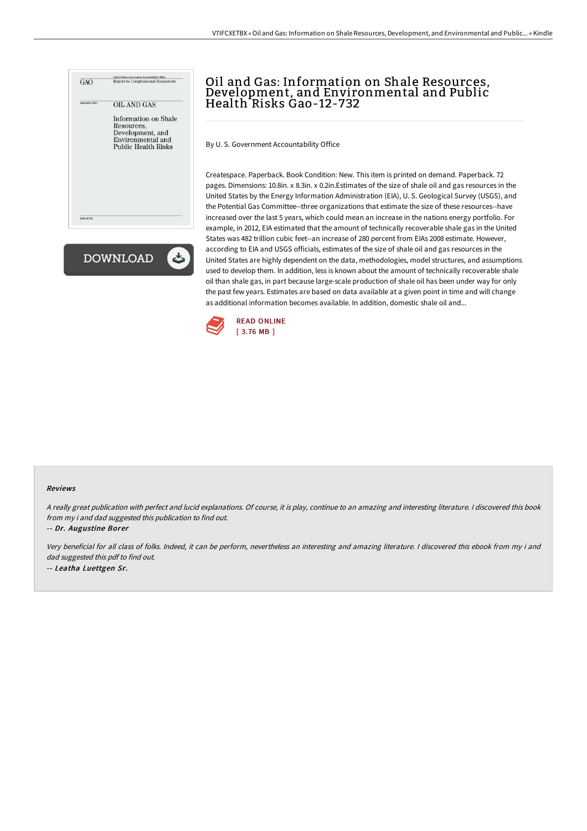



## Oil and Gas: Information on Shale Resources, Development, and Environmental and Public Health Risks Gao-12-732

By U. S. Government Accountability Office

Createspace. Paperback. Book Condition: New. This item is printed on demand. Paperback. 72 pages. Dimensions: 10.8in. x 8.3in. x 0.2in.Estimates of the size of shale oil and gas resources in the United States by the Energy Information Administration (EIA), U. S. Geological Survey (USGS), and the Potential Gas Committee--three organizations that estimate the size of these resources--have increased over the last 5 years, which could mean an increase in the nations energy portfolio. For example, in 2012, EIA estimated that the amount of technically recoverable shale gas in the United States was 482 trillion cubic feet--an increase of 280 percent from EIAs 2008 estimate. However, according to EIA and USGS officials, estimates of the size of shale oil and gas resources in the United States are highly dependent on the data, methodologies, model structures, and assumptions used to develop them. In addition, less is known about the amount of technically recoverable shale oil than shale gas, in part because large-scale production of shale oil has been under way for only the past few years. Estimates are based on data available at a given point in time and will change as additional information becomes available. In addition, domestic shale oil and...



## Reviews

<sup>A</sup> really great publication with perfect and lucid explanations. Of course, it is play, continue to an amazing and interesting literature. <sup>I</sup> discovered this book from my i and dad suggested this publication to find out.

-- Dr. Augustine Borer

Very beneficial for all class of folks. Indeed, it can be perform, nevertheless an interesting and amazing literature. <sup>I</sup> discovered this ebook from my i and dad suggested this pdf to find out. -- Leatha Luettgen Sr.